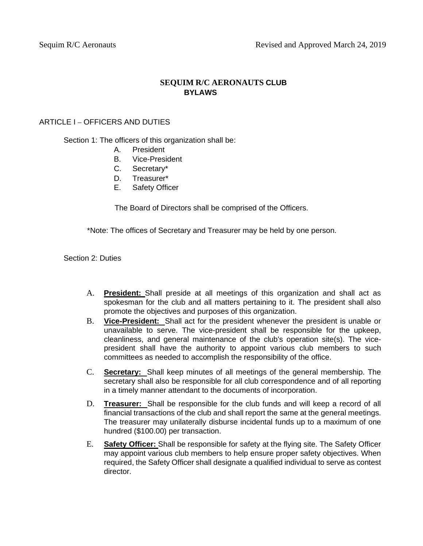# **SEQUIM R/C AERONAUTS CLUB BYLAWS**

## ARTICLE I – OFFICERS AND DUTIES

### Section 1: The officers of this organization shall be:

- A. President
- B. Vice-President
- C. Secretary\*
- D. Treasurer\*
- E. Safety Officer

The Board of Directors shall be comprised of the Officers.

\*Note: The offices of Secretary and Treasurer may be held by one person.

Section 2: Duties

- A. **President:** Shall preside at all meetings of this organization and shall act as spokesman for the club and all matters pertaining to it. The president shall also promote the objectives and purposes of this organization.
- B. **Vice-President:** Shall act for the president whenever the president is unable or unavailable to serve. The vice-president shall be responsible for the upkeep, cleanliness, and general maintenance of the club's operation site(s). The vicepresident shall have the authority to appoint various club members to such committees as needed to accomplish the responsibility of the office.
- C. **Secretary:** Shall keep minutes of all meetings of the general membership. The secretary shall also be responsible for all club correspondence and of all reporting in a timely manner attendant to the documents of incorporation.
- D. **Treasurer:** Shall be responsible for the club funds and will keep a record of all financial transactions of the club and shall report the same at the general meetings. The treasurer may unilaterally disburse incidental funds up to a maximum of one hundred (\$100.00) per transaction.
- E. **Safety Officer:** Shall be responsible for safety at the flying site. The Safety Officer may appoint various club members to help ensure proper safety objectives. When required, the Safety Officer shall designate a qualified individual to serve as contest director.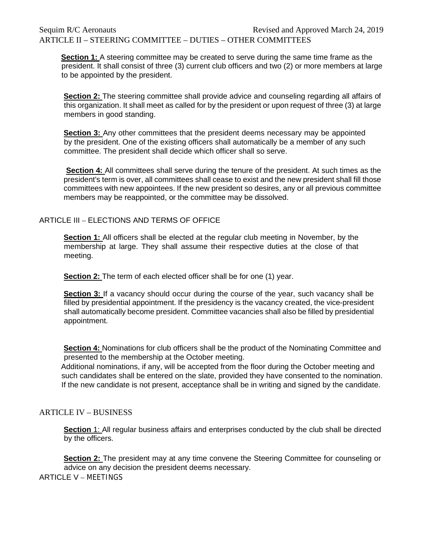**Section 1:** A steering committee may be created to serve during the same time frame as the president. It shall consist of three (3) current club officers and two (2) or more members at large to be appointed by the president.

**Section 2:** The steering committee shall provide advice and counseling regarding all affairs of this organization. It shall meet as called for by the president or upon request of three (3) at large members in good standing.

**Section 3:** Any other committees that the president deems necessary may be appointed by the president. One of the existing officers shall automatically be a member of any such committee. The president shall decide which officer shall so serve.

**Section 4:** All committees shall serve during the tenure of the president. At such times as the president's term is over, all committees shall cease to exist and the new president shall fill those committees with new appointees. If the new president so desires, any or all previous committee members may be reappointed, or the committee may be dissolved.

# ARTICLE III – ELECTIONS AND TERMS OF OFFICE

**Section 1:** All officers shall be elected at the regular club meeting in November, by the membership at large. They shall assume their respective duties at the close of that meeting.

**Section 2:** The term of each elected officer shall be for one (1) year.

**Section 3:** If a vacancy should occur during the course of the year, such vacancy shall be filled by presidential appointment. If the presidency is the vacancy created, the vice-president shall automatically become president. Committee vacancies shall also be filled by presidential appointment.

**Section 4:** Nominations for club officers shall be the product of the Nominating Committee and presented to the membership at the October meeting.

Additional nominations, if any, will be accepted from the floor during the October meeting and such candidates shall be entered on the slate, provided they have consented to the nomination. If the new candidate is not present, acceptance shall be in writing and signed by the candidate.

# ARTICLE IV – BUSINESS

**Section** 1: All regular business affairs and enterprises conducted by the club shall be directed by the officers.

**Section 2:** The president may at any time convene the Steering Committee for counseling or advice on any decision the president deems necessary. ARTICLE V – MEETINGS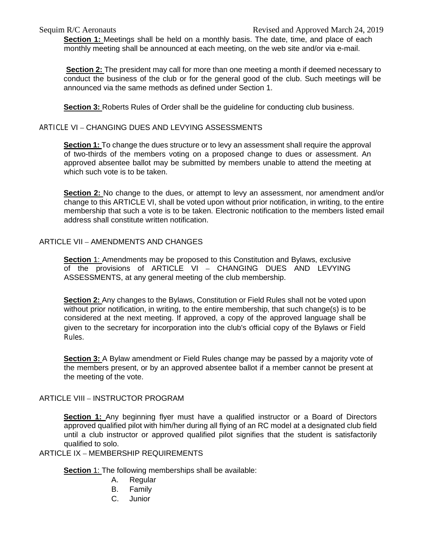# Sequim R/C Aeronauts Revised and Approved March 24, 2019

**Section 1:** Meetings shall be held on a monthly basis. The date, time, and place of each monthly meeting shall be announced at each meeting, on the web site and/or via e-mail.

**Section 2:** The president may call for more than one meeting a month if deemed necessary to conduct the business of the club or for the general good of the club. Such meetings will be announced via the same methods as defined under Section 1.

**Section 3:** Roberts Rules of Order shall be the guideline for conducting club business.

# ARTICLE VI – CHANGING DUES AND LEVYING ASSESSMENTS

**Section 1:** To change the dues structure or to levy an assessment shall require the approval of two-thirds of the members voting on a proposed change to dues or assessment. An approved absentee ballot may be submitted by members unable to attend the meeting at which such vote is to be taken.

**Section 2:** No change to the dues, or attempt to levy an assessment, nor amendment and/or change to this ARTICLE VI, shall be voted upon without prior notification, in writing, to the entire membership that such a vote is to be taken. Electronic notification to the members listed email address shall constitute written notification.

### ARTICLE VII – AMENDMENTS AND CHANGES

**Section** 1: Amendments may be proposed to this Constitution and Bylaws, exclusive of the provisions of ARTICLE VI – CHANGING DUES AND LEVYING ASSESSMENTS, at any general meeting of the club membership.

**Section 2:** Any changes to the Bylaws, Constitution or Field Rules shall not be voted upon without prior notification, in writing, to the entire membership, that such change(s) is to be considered at the next meeting. If approved, a copy of the approved language shall be given to the secretary for incorporation into the club's official copy of the Bylaws or Field Rules.

**Section 3:** A Bylaw amendment or Field Rules change may be passed by a majority vote of the members present, or by an approved absentee ballot if a member cannot be present at the meeting of the vote.

# ARTICLE VIII – INSTRUCTOR PROGRAM

**Section 1:** Any beginning flyer must have a qualified instructor or a Board of Directors approved qualified pilot with him/her during all flying of an RC model at a designated club field until a club instructor or approved qualified pilot signifies that the student is satisfactorily qualified to solo.

# ARTICLE IX – MEMBERSHIP REQUIREMENTS

**Section** 1: The following memberships shall be available:

- A. Regular
- B. Family
- C. Junior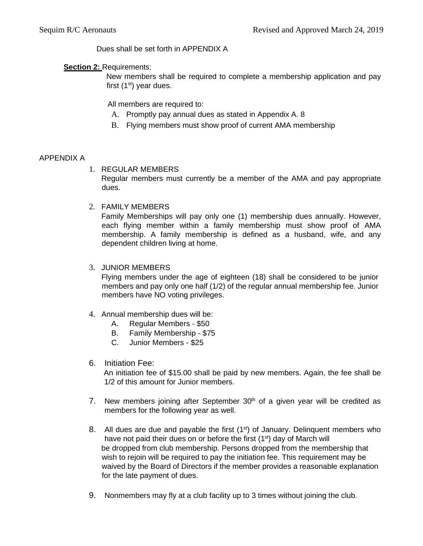Dues shall be set forth in APPENDIX A

### **Section 2:** Requirements:

New members shall be required to complete a membership application and pay first  $(1<sup>st</sup>)$  year dues.

All members are required to:

- A. Promptly pay annual dues as stated in Appendix A. 8
- B. Flying members must show proof of current AMA membership

#### APPENDIX A

1. REGULAR MEMBERS

Regular members must currently be a member of the AMA and pay appropriate dues.

2. FAMILY MEMBERS

Family Memberships will pay only one (1) membership dues annually. However, each flying member within a family membership must show proof of AMA membership. A family membership is defined as a husband, wife, and any dependent children living at home.

3. JUNIOR MEMBERS

Flying members under the age of eighteen (18) shall be considered to be junior members and pay only one half (1/2) of the regular annual membership fee. Junior members have NO voting privileges.

- 4. Annual membership dues will be:
	- A. Regular Members \$50
	- B. Family Membership \$75
	- C. Junior Members \$25
- 6. Initiation Fee:

An initiation fee of \$15.00 shall be paid by new members. Again, the fee shall be 1/2 of this amount for Junior members.

- 7. New members joining after September  $30<sup>th</sup>$  of a given year will be credited as members for the following year as well.
- 8. All dues are due and payable the first (1<sup>st</sup>) of January. Delinquent members who have not paid their dues on or before the first (1<sup>st</sup>) day of March will be dropped from club membership. Persons dropped from the membership that wish to rejoin will be required to pay the initiation fee. This requirement may be waived by the Board of Directors if the member provides a reasonable explanation for the late payment of dues.
- 9. Nonmembers may fly at a club facility up to 3 times without joining the club.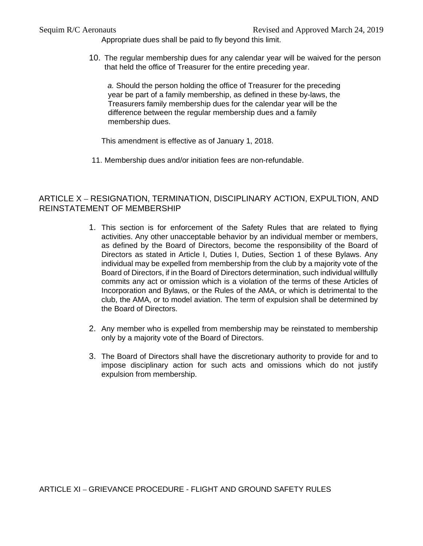Appropriate dues shall be paid to fly beyond this limit.

10. The regular membership dues for any calendar year will be waived for the person that held the office of Treasurer for the entire preceding year.

*a.* Should the person holding the office of Treasurer for the preceding year be part of a family membership, as defined in these by-laws, the Treasurers family membership dues for the calendar year will be the difference between the regular membership dues and a family membership dues.

This amendment is effective as of January 1, 2018.

11. Membership dues and/or initiation fees are non-refundable.

# ARTICLE X – RESIGNATION, TERMINATION, DISCIPLINARY ACTION, EXPULTION, AND REINSTATEMENT OF MEMBERSHIP

- 1. This section is for enforcement of the Safety Rules that are related to flying activities. Any other unacceptable behavior by an individual member or members, as defined by the Board of Directors, become the responsibility of the Board of Directors as stated in Article I, Duties I, Duties, Section 1 of these Bylaws. Any individual may be expelled from membership from the club by a majority vote of the Board of Directors, if in the Board of Directors determination, such individual willfully commits any act or omission which is a violation of the terms of these Articles of Incorporation and Bylaws, or the Rules of the AMA, or which is detrimental to the club, the AMA, or to model aviation. The term of expulsion shall be determined by the Board of Directors.
- 2. Any member who is expelled from membership may be reinstated to membership only by a majority vote of the Board of Directors.
- 3. The Board of Directors shall have the discretionary authority to provide for and to impose disciplinary action for such acts and omissions which do not justify expulsion from membership.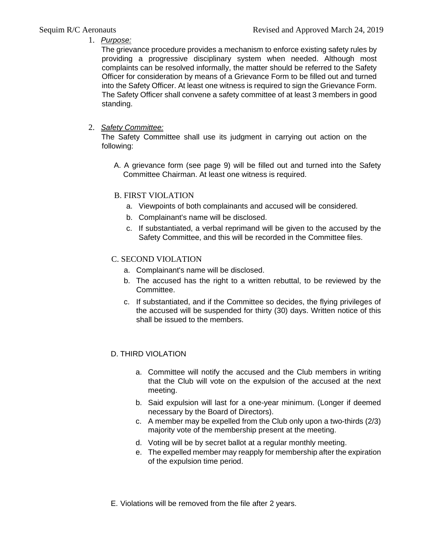1. *Purpose:* 

The grievance procedure provides a mechanism to enforce existing safety rules by providing a progressive disciplinary system when needed. Although most complaints can be resolved informally, the matter should be referred to the Safety Officer for consideration by means of a Grievance Form to be filled out and turned into the Safety Officer. At least one witness is required to sign the Grievance Form. The Safety Officer shall convene a safety committee of at least 3 members in good standing.

# 2. *Safety Committee:*

The Safety Committee shall use its judgment in carrying out action on the following:

A. A grievance form (see page 9) will be filled out and turned into the Safety Committee Chairman. At least one witness is required.

# B. FIRST VIOLATION

- a. Viewpoints of both complainants and accused will be considered.
- b. Complainant's name will be disclosed.
- c. If substantiated, a verbal reprimand will be given to the accused by the Safety Committee, and this will be recorded in the Committee files.

# C. SECOND VIOLATION

- a. Complainant's name will be disclosed.
- b. The accused has the right to a written rebuttal, to be reviewed by the Committee.
- c. If substantiated, and if the Committee so decides, the flying privileges of the accused will be suspended for thirty (30) days. Written notice of this shall be issued to the members.

# D. THIRD VIOLATION

- a. Committee will notify the accused and the Club members in writing that the Club will vote on the expulsion of the accused at the next meeting.
- b. Said expulsion will last for a one-year minimum. (Longer if deemed necessary by the Board of Directors).
- c. A member may be expelled from the Club only upon a two-thirds (2/3) majority vote of the membership present at the meeting.
- d. Voting will be by secret ballot at a regular monthly meeting.
- e. The expelled member may reapply for membership after the expiration of the expulsion time period.
- E. Violations will be removed from the file after 2 years.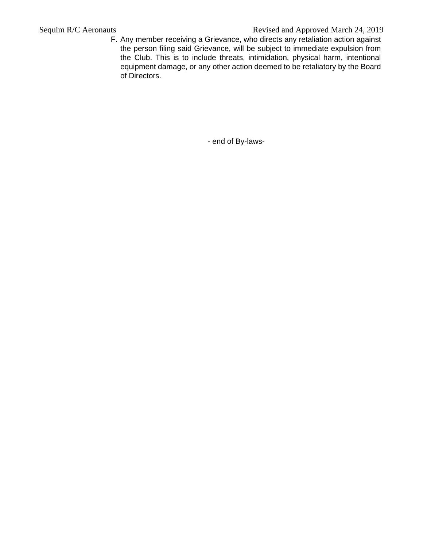F. Any member receiving a Grievance, who directs any retaliation action against the person filing said Grievance, will be subject to immediate expulsion from the Club. This is to include threats, intimidation, physical harm, intentional equipment damage, or any other action deemed to be retaliatory by the Board of Directors.

- end of By-laws-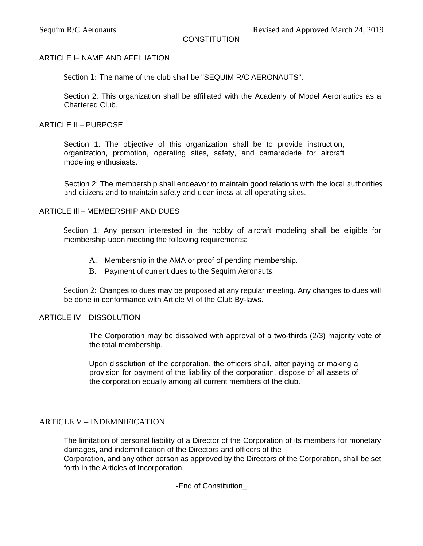#### **CONSTITUTION**

## ARTICLE I– NAME AND AFFILIATION

Section 1: The name of the club shall be "SEQUIM R/C AERONAUTS".

Section 2: This organization shall be affiliated with the Academy of Model Aeronautics as a Chartered Club.

ARTICLE II – PURPOSE

Section 1: The objective of this organization shall be to provide instruction, organization, promotion, operating sites, safety, and camaraderie for aircraft modeling enthusiasts.

Section 2: The membership shall endeavor to maintain good relations with the local authorities and citizens and to maintain safety and cleanliness at all operating sites.

#### ARTICLE III – MEMBERSHIP AND DUES

Section 1: Any person interested in the hobby of aircraft modeling shall be eligible for membership upon meeting the following requirements:

- A. Membership in the AMA or proof of pending membership.
- B. Payment of current dues to the Sequim Aeronauts.

Section 2: Changes to dues may be proposed at any regular meeting. Any changes to dues will be done in conformance with Article VI of the Club By-laws.

#### ARTICLE IV – DISSOLUTION

The Corporation may be dissolved with approval of a two-thirds (2/3) majority vote of the total membership.

Upon dissolution of the corporation, the officers shall, after paying or making a provision for payment of the liability of the corporation, dispose of all assets of the corporation equally among all current members of the club.

# ARTICLE V – INDEMNIFICATION

The limitation of personal liability of a Director of the Corporation of its members for monetary damages, and indemnification of the Directors and officers of the Corporation, and any other person as approved by the Directors of the Corporation, shall be set forth in the Articles of Incorporation.

-End of Constitution\_